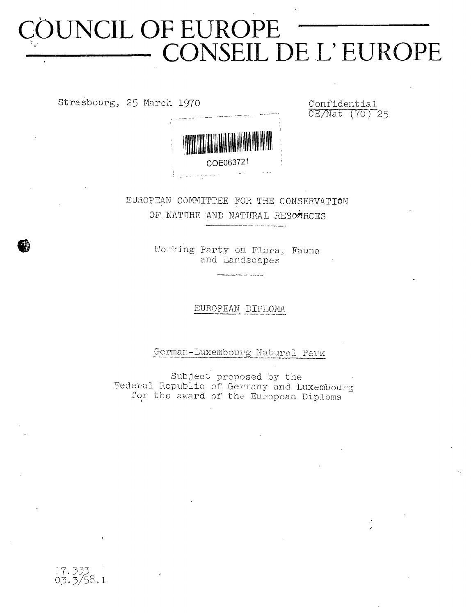# **COUNCIL OF EUROPE CONSEIL DE L' EUROPE**  $\Delta$

Strasbourg, 25 March 1970 Confidential

CE/Nat (70) 25



EUROPEAN COMMITTEE FOR THE CONSERVATION OF NATURE AND NATURAL RESOURCES

> Working Party on Flora, Fauna and Landscapes

> > EUROPEAN DIPLOMA

German-Luxembourg Natural Park

Subject proposed by the Federal Republic of Germany and Luxembourg for the award of the European Diploma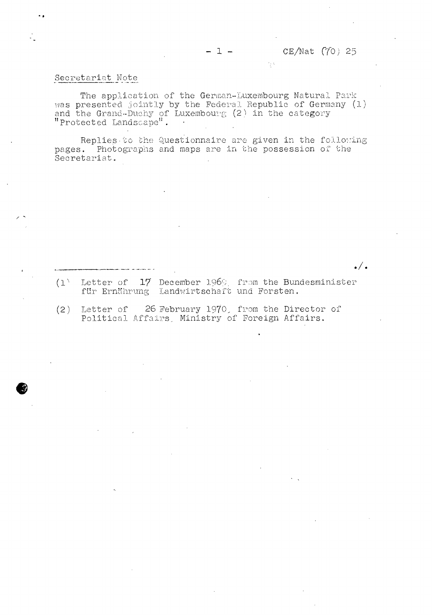#### Secretariat Note

The application of the German-Luxembourg Natural Park was presented jointly by the Federal Republic of Germany (1) and the Grand-Duohy of Luxembourg (2) in the category "Protected Landscape".

 $-1 -$ 

Replies-to che Questionnaire are given in the following pages. Photographs and maps are in the possession of the Secretariat.

<u>.</u>/.

(l) Letter of  $17$  December 1969. from the Bundesministe für Ernährung Landwirtschaft und Forsten.

(2) Letter of 26 February 1970, from the Director of Political Affairs, Ministry of Foreign Affairs.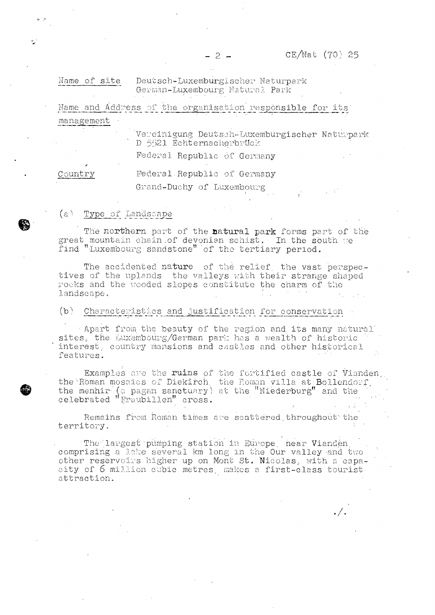Name of site Deutsch-Luxemburgischer Naturpark German-Luxembourg Natural Park

**Name** \_and Add**re**ss of the organisâtion jresponsible for *i*ts' management

 $-2 -$ 

**Vereinigung Deut**soh-**Luxemburgischer** Naturpark D 5521 Echternacherbrück

Federal Republic of Germany

Country **Federal.Republic** of Germany

Grand-Duchy of Luxembourg

## (a) Type of Landscape

✓

The **northern** part of the **natural park** forms part of the great mountain chain .of devonian schist. In **the** south re find ''Luxembourg sandstone'' 'of the tertiary period.

The accidented nature of the relief, the vast perspectives of the uplands the valleys with their strange shaped 'rocks and the wooded slopes constitute the charm of the landscape.

## (b) Characteristics and justification for conservation

• Apart **from** the **beauty of** the **region and. its many natural'** sites, the Luxembourg/German park has a wealth of historic interest, country mansions and castles and other historical features.

Examples are the **ruins** of the fortified castle **of Vianden..** the Roman mosaics of Diekirch, the Roman villa at Bollendorf, the menhir' (a pagan sanctuary) at the "Niederburg" and the celebrated "Fraubillen" cross. " . ' ' . ' ' ' . ' ' ' . ' ' ' ' . ' ' ' . ' ' ' '

Remains from Roman times are scattered throughout the territory.

' The'',largest pumping station in Europe, near Vianden. comprising a lake several km long in the Our valley and two **other** reservoirs **higher up on** Mont **St. 'Nicolas,** with a 'capacity of **6** million cubic **metres,** makes a first-class tourist attraction.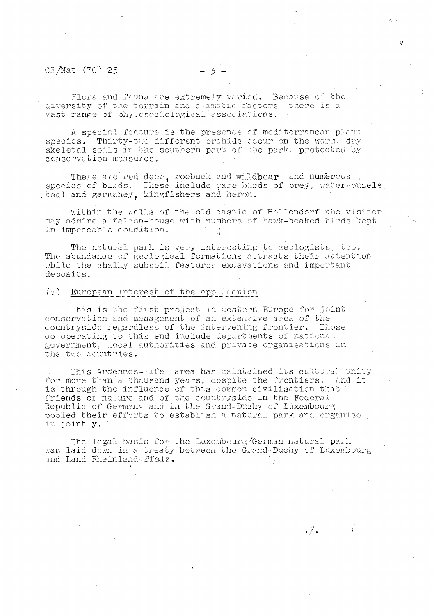#### CE/Nat (70) 25

Plora and fauna are extremely varied.' Because of the diversity of the terrain and climatic factors, there is a vast range of phytosociological'associations.

A special feature is the presence of mediterranean plant species. Thirty-tuo different orchids occur on the warm, dry skeletal soils in the southern part of the park, protected by conservation measures.

There are red deer, roebuck and wildboar and numerous species of birds. These include rare burds of prey, water-ouzels, .teal and garganey. kingfishers and heron.

Within the walls of the old castle of Bollendorf che visitor may admire a **falcon-house** with numbers of **hawk-beaked** birds kept in impeccable condition.

The natural park is **very** interesting to geologists, too. The abundance of geological formations attracts their attention, while the chalky subsoil features excavations and important deposits.

#### (c ) European interest of the application

This is the first project in western Europe for joint conservation and. management of *an extensive area of* the countryside regardless of the intervening frontier. Those co-operating to this end include **departments** of national government, local authorities and **privace** organisations **in** the two countries.

This Ardennes-Eifel area has maintained its cultural unity for more than a thousand years, despite the frontiers. And it is through the influence of this common civilisation that friends of nature and of the countryside in the Federal , Republic of Germany and in the Grand-Duchy of Luxembourg pooled their efforts to establish a natural park and organise it jointly.

**The legal** basis **for the** Luxembourg/German natural park was laid down in a treaty between the Grand-Duchy of Luxembourg and Land Rheinland-Pfalz.

 $\cdot$  /  $\cdot$ 

 $\mathbf{I}$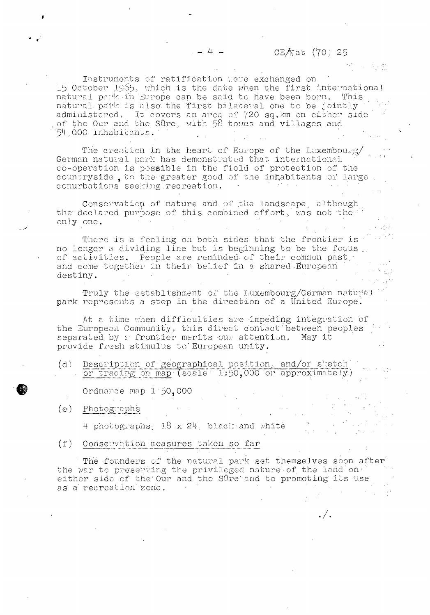## CE $\text{Mat}$  (70) 25

 $\cdot$  /  $\cdot$ 

Instruments of ratification vere exchanged on 15 October 1965, which is the date when the first international natural perk in Europe can be said to have been born. This natural park is also the first bilateral one to be jointly administered. It covers an area of 720 sq. km on either side of the Our and the Sûre, with 58 towns and villages and 54 000 inhabitants.

The creation in the heart of Europe of the Luxembourg/ German natural park has demonstrated that international co-operation is possible in the field of protection of the countryside , to the greater good of the inhabitants of large . conurbations seeking recreation.

Conservation of nature and of the landscape, although the declared purpose of this combined effort, was not the " only one.

There is a feeling on both sides that the frontier is no longer a dividing line but is beginning to be the focus of activities. People are reminded of their common pasty and come together in their belief in a shared European destiny.  $\mathtt{destiny.}$  and  $\mathtt{destiny.}$ 

Truly the establishment of the Luxembourg/German natural park represents a step in the direction of a United Europe.

At a time when difficulties are impeding integration of the European Community, this direct contact between peoples separated by a frontier merits our attention. May it provide fresh stimulus to European unity.

(d) Description of geographical position, and/or sketch  $+$  or tracing on map-(scale  $+$  l:50,000 or approximately)

Ordnance map 1-50,000

(e) Photographs

4 photographs, 18 x 24. black-and white

(f) Conservation measures taken so far

The founders of the natural park set themselves soon after the war to preserving the privileged nature of the land on either side of the Our and the Sûre and to promoting its use as a recreation zone.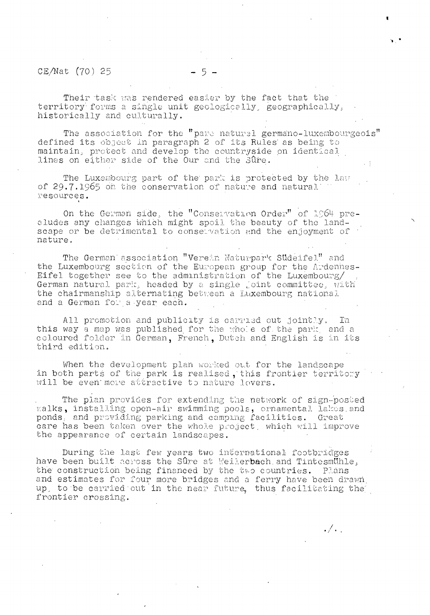# $CE/Mat$  (70) 25 - 5 -

Their task was rendered easier by the fact that the territory-forms a single unit geologically, geographically, historically and culturally.

The association for the "pare naturel germano-luxembourgeois" defined its object in paragraph 2 of its Rules' as being to maintain, protect and develop the countryside on identical lines on either side of the Our and the Sûre.

The Luxembourg part of the park is protected by the law of 29.7.1965 on the conservation of nature and natural' resources.

On the German side, the "Conservation Order" of 1964 precludes any changes which might spoil the beauty of the landscape or be detrimental to conservation and the enjoyment of nature.

The German association "Verein Naturpark Sudeifel" and the Luxembourg section of the European group for the Ardennes-Eifel together see to the administration of the Luxembourg/ German natural pari:, headed by a single joint committee, with the chairmanship alternating between a Luxembourg national and a German for a year each.

All promotion and publicity is carried out jointly. In this way a map was published for the whole of the park, and a coloured folder in German, French, Dutch and English is in its third edition.

When the development plan worked out for the landscape in both parts of the park is realised, this frontier territory will be even more attractive to nature lovers.

The plan provides for extending the network of sign-posted v:alks, installing open-air swimming pools, ornamental lakes, and ponds., and providing parking and camping facilities. Great care has been taken over the whole project, which will improve the appearance of certain landscapes.

During the last few years two international footbridges have been built across the Sûre at Weilerbach.and Tintesmühle, the construction being financed by the two countries. Plans and estimates for four more bridges and a ferry have been drawn, up, to be carried'out in the near future, thus facilitating the) frontier crossing.

**/** • / \*